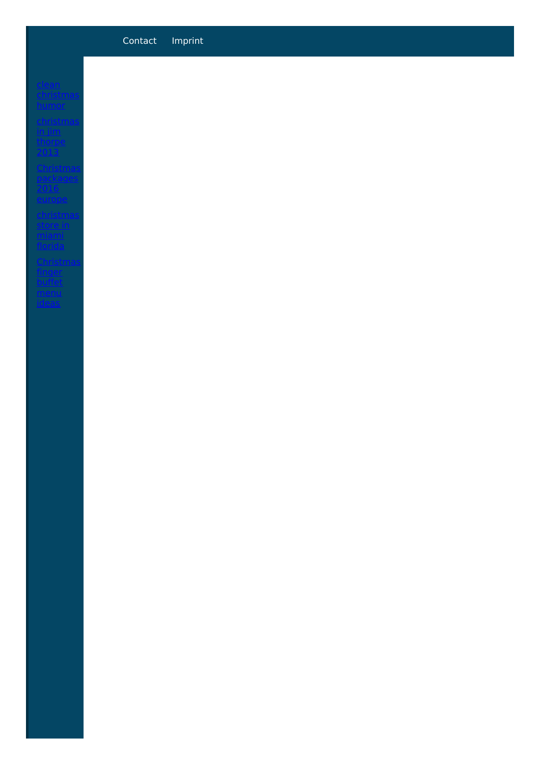## Contact Imprint